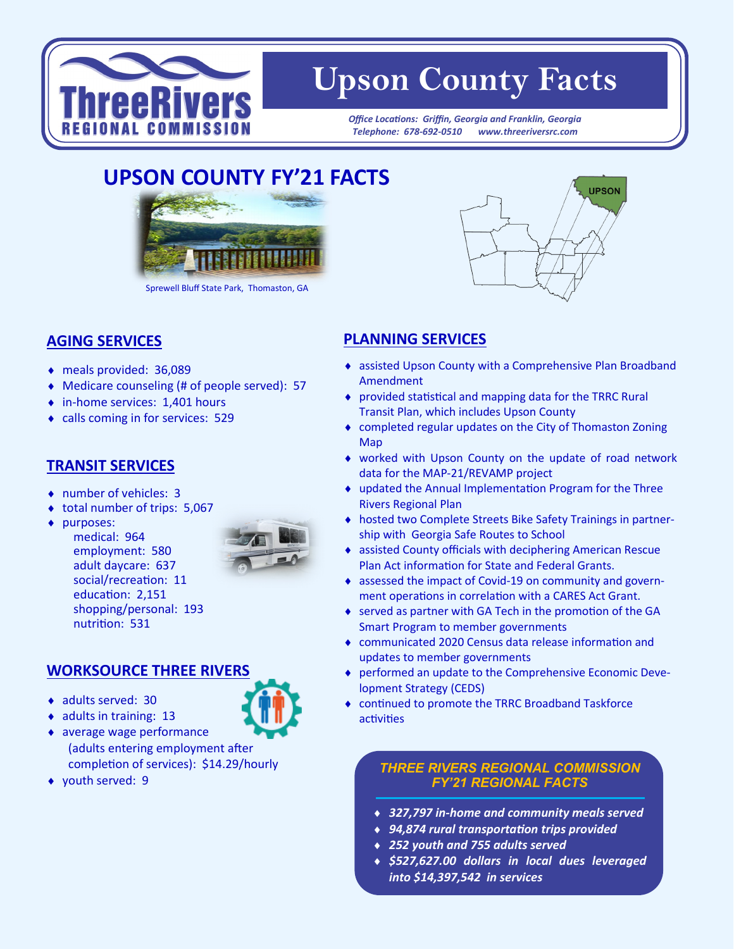

# **Upson County Facts**

*Office Locations: Griffin, Georgia and Franklin, Georgia Telephone: 678-692-0510 www.threeriversrc.com*

## **UPSON COUNTY FY'21 FACTS**



Sprewell Bluff State Park, Thomaston, GA

#### **AGING SERVICES**

- meals provided: 36,089
- Medicare counseling (# of people served): 57
- ◆ in-home services: 1,401 hours
- calls coming in for services: 529

#### **TRANSIT SERVICES**

number of vehicles: 3

medical: 964 employment: 580 adult daycare: 637 social/recreation: 11 education: 2,151 shopping/personal: 193

nutrition: 531

- ◆ total number of trips: 5,067
- ◆ purposes:
- 

### **WORKSOURCE THREE RIVERS**

- ◆ adults served: 30
- $\bullet$  adults in training: 13
- average wage performance (adults entering employment after completion of services): \$14.29/hourly
- ◆ youth served: 9



#### **PLANNING SERVICES**

- assisted Upson County with a Comprehensive Plan Broadband Amendment
- provided statistical and mapping data for the TRRC Rural Transit Plan, which includes Upson County
- completed regular updates on the City of Thomaston Zoning Map
- worked with Upson County on the update of road network data for the MAP-21/REVAMP project
- updated the Annual Implementation Program for the Three Rivers Regional Plan
- hosted two Complete Streets Bike Safety Trainings in partnership with Georgia Safe Routes to School
- assisted County officials with deciphering American Rescue Plan Act information for State and Federal Grants.
- assessed the impact of Covid-19 on community and government operations in correlation with a CARES Act Grant.
- served as partner with GA Tech in the promotion of the GA Smart Program to member governments
- communicated 2020 Census data release information and updates to member governments
- performed an update to the Comprehensive Economic Development Strategy (CEDS)
- continued to promote the TRRC Broadband Taskforce activities

#### *THREE RIVERS REGIONAL COMMISSION FY'21 REGIONAL FACTS*

- *327,797 in-home and community meals served*
- *94,874 rural transportation trips provided*
- *252 youth and 755 adults served*
- *\$527,627.00 dollars in local dues leveraged into \$14,397,542 in services*